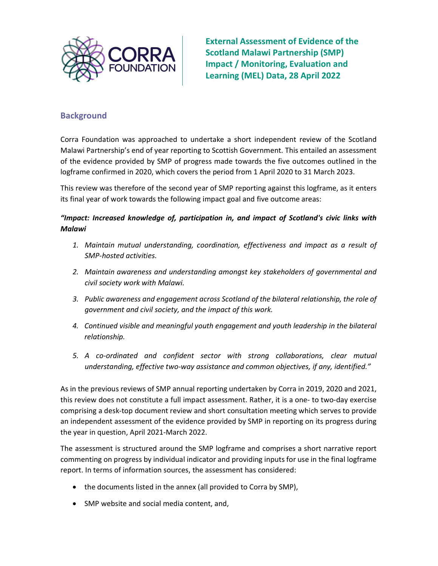

External Assessment of Evidence of the Scotland Malawi Partnership (SMP) Impact / Monitoring, Evaluation and Learning (MEL) Data, 28 April 2022

# **Background**

Corra Foundation was approached to undertake a short independent review of the Scotland Malawi Partnership's end of year reporting to Scottish Government. This entailed an assessment of the evidence provided by SMP of progress made towards the five outcomes outlined in the logframe confirmed in 2020, which covers the period from 1 April 2020 to 31 March 2023.

This review was therefore of the second year of SMP reporting against this logframe, as it enters its final year of work towards the following impact goal and five outcome areas:

### "Impact: Increased knowledge of, participation in, and impact of Scotland's civic links with Malawi

- 1. Maintain mutual understanding, coordination, effectiveness and impact as a result of SMP-hosted activities.
- 2. Maintain awareness and understanding amongst key stakeholders of governmental and civil society work with Malawi.
- 3. Public awareness and engagement across Scotland of the bilateral relationship, the role of government and civil society, and the impact of this work.
- 4. Continued visible and meaningful youth engagement and youth leadership in the bilateral relationship.
- 5. A co-ordinated and confident sector with strong collaborations, clear mutual understanding, effective two-way assistance and common objectives, if any, identified."

As in the previous reviews of SMP annual reporting undertaken by Corra in 2019, 2020 and 2021, this review does not constitute a full impact assessment. Rather, it is a one- to two-day exercise comprising a desk-top document review and short consultation meeting which serves to provide an independent assessment of the evidence provided by SMP in reporting on its progress during the year in question, April 2021-March 2022.

The assessment is structured around the SMP logframe and comprises a short narrative report commenting on progress by individual indicator and providing inputs for use in the final logframe report. In terms of information sources, the assessment has considered:

- the documents listed in the annex (all provided to Corra by SMP),
- SMP website and social media content, and,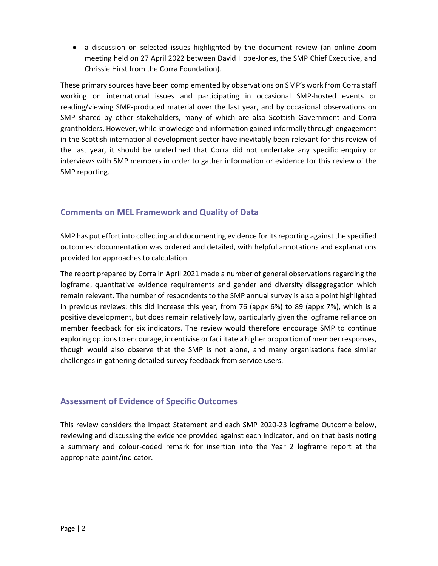a discussion on selected issues highlighted by the document review (an online Zoom meeting held on 27 April 2022 between David Hope-Jones, the SMP Chief Executive, and Chrissie Hirst from the Corra Foundation).

These primary sources have been complemented by observations on SMP's work from Corra staff working on international issues and participating in occasional SMP-hosted events or reading/viewing SMP-produced material over the last year, and by occasional observations on SMP shared by other stakeholders, many of which are also Scottish Government and Corra grantholders. However, while knowledge and information gained informally through engagement in the Scottish international development sector have inevitably been relevant for this review of the last year, it should be underlined that Corra did not undertake any specific enquiry or interviews with SMP members in order to gather information or evidence for this review of the SMP reporting.

## Comments on MEL Framework and Quality of Data

SMP has put effort into collecting and documenting evidence for its reporting against the specified outcomes: documentation was ordered and detailed, with helpful annotations and explanations provided for approaches to calculation.

The report prepared by Corra in April 2021 made a number of general observations regarding the logframe, quantitative evidence requirements and gender and diversity disaggregation which remain relevant. The number of respondents to the SMP annual survey is also a point highlighted in previous reviews: this did increase this year, from 76 (appx 6%) to 89 (appx 7%), which is a positive development, but does remain relatively low, particularly given the logframe reliance on member feedback for six indicators. The review would therefore encourage SMP to continue exploring options to encourage, incentivise or facilitate a higher proportion of member responses, though would also observe that the SMP is not alone, and many organisations face similar challenges in gathering detailed survey feedback from service users.

## Assessment of Evidence of Specific Outcomes

This review considers the Impact Statement and each SMP 2020-23 logframe Outcome below, reviewing and discussing the evidence provided against each indicator, and on that basis noting a summary and colour-coded remark for insertion into the Year 2 logframe report at the appropriate point/indicator.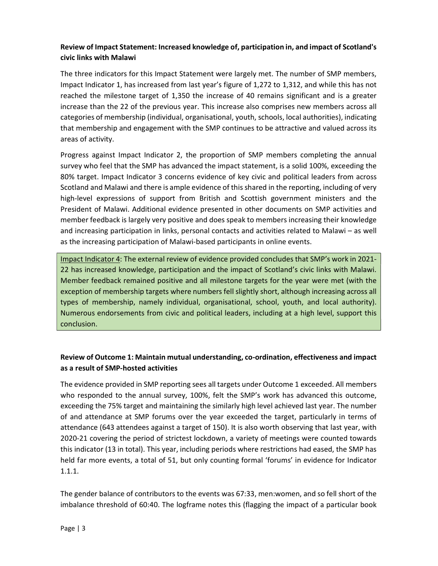## Review of Impact Statement: Increased knowledge of, participation in, and impact of Scotland's civic links with Malawi

The three indicators for this Impact Statement were largely met. The number of SMP members, Impact Indicator 1, has increased from last year's figure of 1,272 to 1,312, and while this has not reached the milestone target of 1,350 the increase of 40 remains significant and is a greater increase than the 22 of the previous year. This increase also comprises new members across all categories of membership (individual, organisational, youth, schools, local authorities), indicating that membership and engagement with the SMP continues to be attractive and valued across its areas of activity.

Progress against Impact Indicator 2, the proportion of SMP members completing the annual survey who feel that the SMP has advanced the impact statement, is a solid 100%, exceeding the 80% target. Impact Indicator 3 concerns evidence of key civic and political leaders from across Scotland and Malawi and there is ample evidence of this shared in the reporting, including of very high-level expressions of support from British and Scottish government ministers and the President of Malawi. Additional evidence presented in other documents on SMP activities and member feedback is largely very positive and does speak to members increasing their knowledge and increasing participation in links, personal contacts and activities related to Malawi – as well as the increasing participation of Malawi-based participants in online events.

Impact Indicator 4: The external review of evidence provided concludes that SMP's work in 2021- 22 has increased knowledge, participation and the impact of Scotland's civic links with Malawi. Member feedback remained positive and all milestone targets for the year were met (with the exception of membership targets where numbers fell slightly short, although increasing across all types of membership, namely individual, organisational, school, youth, and local authority). Numerous endorsements from civic and political leaders, including at a high level, support this conclusion.

# Review of Outcome 1: Maintain mutual understanding, co-ordination, effectiveness and impact as a result of SMP-hosted activities

The evidence provided in SMP reporting sees all targets under Outcome 1 exceeded. All members who responded to the annual survey, 100%, felt the SMP's work has advanced this outcome, exceeding the 75% target and maintaining the similarly high level achieved last year. The number of and attendance at SMP forums over the year exceeded the target, particularly in terms of attendance (643 attendees against a target of 150). It is also worth observing that last year, with 2020-21 covering the period of strictest lockdown, a variety of meetings were counted towards this indicator (13 in total). This year, including periods where restrictions had eased, the SMP has held far more events, a total of 51, but only counting formal 'forums' in evidence for Indicator 1.1.1.

The gender balance of contributors to the events was 67:33, men:women, and so fell short of the imbalance threshold of 60:40. The logframe notes this (flagging the impact of a particular book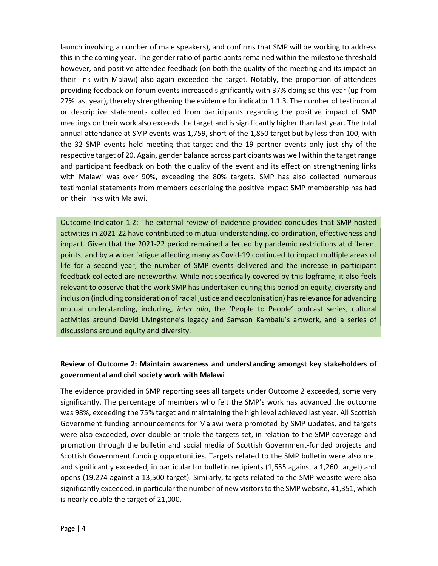launch involving a number of male speakers), and confirms that SMP will be working to address this in the coming year. The gender ratio of participants remained within the milestone threshold however, and positive attendee feedback (on both the quality of the meeting and its impact on their link with Malawi) also again exceeded the target. Notably, the proportion of attendees providing feedback on forum events increased significantly with 37% doing so this year (up from 27% last year), thereby strengthening the evidence for indicator 1.1.3. The number of testimonial or descriptive statements collected from participants regarding the positive impact of SMP meetings on their work also exceeds the target and is significantly higher than last year. The total annual attendance at SMP events was 1,759, short of the 1,850 target but by less than 100, with the 32 SMP events held meeting that target and the 19 partner events only just shy of the respective target of 20. Again, gender balance across participants was well within the target range and participant feedback on both the quality of the event and its effect on strengthening links with Malawi was over 90%, exceeding the 80% targets. SMP has also collected numerous testimonial statements from members describing the positive impact SMP membership has had on their links with Malawi.

Outcome Indicator 1.2: The external review of evidence provided concludes that SMP-hosted activities in 2021-22 have contributed to mutual understanding, co-ordination, effectiveness and impact. Given that the 2021-22 period remained affected by pandemic restrictions at different points, and by a wider fatigue affecting many as Covid-19 continued to impact multiple areas of life for a second year, the number of SMP events delivered and the increase in participant feedback collected are noteworthy. While not specifically covered by this logframe, it also feels relevant to observe that the work SMP has undertaken during this period on equity, diversity and inclusion (including consideration of racial justice and decolonisation) has relevance for advancing mutual understanding, including, inter alia, the 'People to People' podcast series, cultural activities around David Livingstone's legacy and Samson Kambalu's artwork, and a series of discussions around equity and diversity.

### Review of Outcome 2: Maintain awareness and understanding amongst key stakeholders of governmental and civil society work with Malawi

The evidence provided in SMP reporting sees all targets under Outcome 2 exceeded, some very significantly. The percentage of members who felt the SMP's work has advanced the outcome was 98%, exceeding the 75% target and maintaining the high level achieved last year. All Scottish Government funding announcements for Malawi were promoted by SMP updates, and targets were also exceeded, over double or triple the targets set, in relation to the SMP coverage and promotion through the bulletin and social media of Scottish Government-funded projects and Scottish Government funding opportunities. Targets related to the SMP bulletin were also met and significantly exceeded, in particular for bulletin recipients (1,655 against a 1,260 target) and opens (19,274 against a 13,500 target). Similarly, targets related to the SMP website were also significantly exceeded, in particular the number of new visitors to the SMP website, 41,351, which is nearly double the target of 21,000.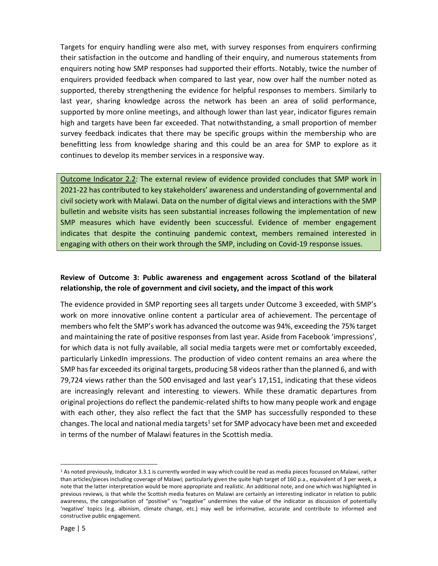Targets for enquiry handling were also met, with survey responses from enquirers confirming their satisfaction in the outcome and handling of their enquiry, and numerous statements from enquirers noting how SMP responses had supported their efforts. Notably, twice the number of enquirers provided feedback when compared to last year, now over half the number noted as supported, thereby strengthening the evidence for helpful responses to members. Similarly to last year, sharing knowledge across the network has been an area of solid performance, supported by more online meetings, and although lower than last year, indicator figures remain high and targets have been far exceeded. That notwithstanding, a small proportion of member survey feedback indicates that there may be specific groups within the membership who are benefitting less from knowledge sharing and this could be an area for SMP to explore as it continues to develop its member services in a responsive way.

Outcome Indicator 2.2: The external review of evidence provided concludes that SMP work in 2021-22 has contributed to key stakeholders' awareness and understanding of governmental and civil society work with Malawi. Data on the number of digital views and interactions with the SMP bulletin and website visits has seen substantial increases following the implementation of new SMP measures which have evidently been scuccessful. Evidence of member engagement indicates that despite the continuing pandemic context, members remained interested in engaging with others on their work through the SMP, including on Covid-19 response issues.

#### Review of Outcome 3: Public awareness and engagement across Scotland of the bilateral relationship, the role of government and civil society, and the impact of this work

The evidence provided in SMP reporting sees all targets under Outcome 3 exceeded, with SMP's work on more innovative online content a particular area of achievement. The percentage of members who felt the SMP's work has advanced the outcome was 94%, exceeding the 75% target and maintaining the rate of positive responses from last year. Aside from Facebook 'impressions', for which data is not fully available, all social media targets were met or comfortably exceeded, particularly LinkedIn impressions. The production of video content remains an area where the SMP has far exceeded its original targets, producing 58 videos rather than the planned 6, and with 79,724 views rather than the 500 envisaged and last year's 17,151, indicating that these videos are increasingly relevant and interesting to viewers. While these dramatic departures from original projections do reflect the pandemic-related shifts to how many people work and engage with each other, they also reflect the fact that the SMP has successfully responded to these changes. The local and national media targets<sup>1</sup> set for SMP advocacy have been met and exceeded in terms of the number of Malawi features in the Scottish media.

<sup>&</sup>lt;sup>1</sup> As noted previously, Indicator 3.3.1 is currently worded in way which could be read as media pieces focussed on Malawi, rather than articles/pieces including coverage of Malawi; particularly given the quite high target of 160 p.a., equivalent of 3 per week, a note that the latter interpretation would be more appropriate and realistic. An additional note, and one which was highlighted in previous reviews, is that while the Scottish media features on Malawi are certainly an interesting indicator in relation to public awareness, the categorisation of "positive" vs "negative" undermines the value of the indicator as discussion of potentially 'negative' topics (e.g. albinism, climate change, etc.) may well be informative, accurate and contribute to informed and constructive public engagement.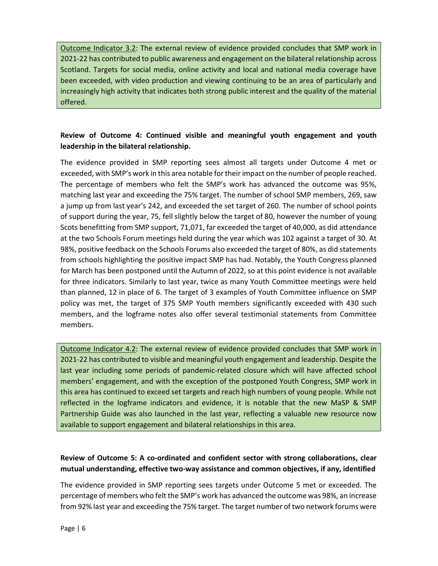Outcome Indicator 3.2: The external review of evidence provided concludes that SMP work in 2021-22 has contributed to public awareness and engagement on the bilateral relationship across Scotland. Targets for social media, online activity and local and national media coverage have been exceeded, with video production and viewing continuing to be an area of particularly and increasingly high activity that indicates both strong public interest and the quality of the material offered.

## Review of Outcome 4: Continued visible and meaningful youth engagement and youth leadership in the bilateral relationship.

The evidence provided in SMP reporting sees almost all targets under Outcome 4 met or exceeded, with SMP's work in this area notable for their impact on the number of people reached. The percentage of members who felt the SMP's work has advanced the outcome was 95%, matching last year and exceeding the 75% target. The number of school SMP members, 269, saw a jump up from last year's 242, and exceeded the set target of 260. The number of school points of support during the year, 75, fell slightly below the target of 80, however the number of young Scots benefitting from SMP support, 71,071, far exceeded the target of 40,000, as did attendance at the two Schools Forum meetings held during the year which was 102 against a target of 30. At 98%, positive feedback on the Schools Forums also exceeded the target of 80%, as did statements from schools highlighting the positive impact SMP has had. Notably, the Youth Congress planned for March has been postponed until the Autumn of 2022, so at this point evidence is not available for three indicators. Similarly to last year, twice as many Youth Committee meetings were held than planned, 12 in place of 6. The target of 3 examples of Youth Committee influence on SMP policy was met, the target of 375 SMP Youth members significantly exceeded with 430 such members, and the logframe notes also offer several testimonial statements from Committee members.

Outcome Indicator 4.2: The external review of evidence provided concludes that SMP work in 2021-22 has contributed to visible and meaningful youth engagement and leadership. Despite the last year including some periods of pandemic-related closure which will have affected school members' engagement, and with the exception of the postponed Youth Congress, SMP work in this area has continued to exceed set targets and reach high numbers of young people. While not reflected in the logframe indicators and evidence, it is notable that the new MaSP & SMP Partnership Guide was also launched in the last year, reflecting a valuable new resource now available to support engagement and bilateral relationships in this area.

# Review of Outcome 5: A co-ordinated and confident sector with strong collaborations, clear mutual understanding, effective two-way assistance and common objectives, if any, identified

The evidence provided in SMP reporting sees targets under Outcome 5 met or exceeded. The percentage of members who felt the SMP's work has advanced the outcome was 98%, an increase from 92% last year and exceeding the 75% target. The target number of two network forums were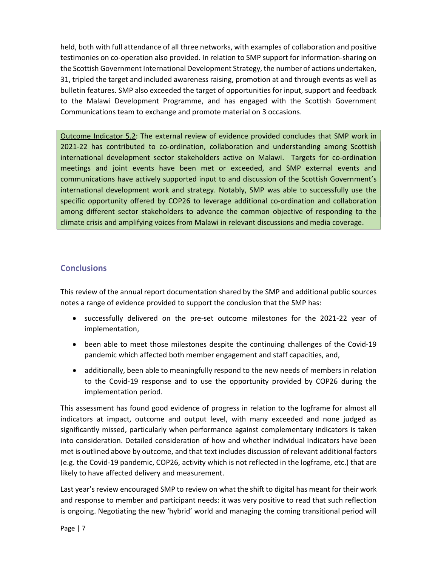held, both with full attendance of all three networks, with examples of collaboration and positive testimonies on co-operation also provided. In relation to SMP support for information-sharing on the Scottish Government International Development Strategy, the number of actions undertaken, 31, tripled the target and included awareness raising, promotion at and through events as well as bulletin features. SMP also exceeded the target of opportunities for input, support and feedback to the Malawi Development Programme, and has engaged with the Scottish Government Communications team to exchange and promote material on 3 occasions.

Outcome Indicator 5.2: The external review of evidence provided concludes that SMP work in 2021-22 has contributed to co-ordination, collaboration and understanding among Scottish international development sector stakeholders active on Malawi. Targets for co-ordination meetings and joint events have been met or exceeded, and SMP external events and communications have actively supported input to and discussion of the Scottish Government's international development work and strategy. Notably, SMP was able to successfully use the specific opportunity offered by COP26 to leverage additional co-ordination and collaboration among different sector stakeholders to advance the common objective of responding to the climate crisis and amplifying voices from Malawi in relevant discussions and media coverage.

## **Conclusions**

This review of the annual report documentation shared by the SMP and additional public sources notes a range of evidence provided to support the conclusion that the SMP has:

- successfully delivered on the pre-set outcome milestones for the 2021-22 year of implementation,
- been able to meet those milestones despite the continuing challenges of the Covid-19 pandemic which affected both member engagement and staff capacities, and,
- additionally, been able to meaningfully respond to the new needs of members in relation to the Covid-19 response and to use the opportunity provided by COP26 during the implementation period.

This assessment has found good evidence of progress in relation to the logframe for almost all indicators at impact, outcome and output level, with many exceeded and none judged as significantly missed, particularly when performance against complementary indicators is taken into consideration. Detailed consideration of how and whether individual indicators have been met is outlined above by outcome, and that text includes discussion of relevant additional factors (e.g. the Covid-19 pandemic, COP26, activity which is not reflected in the logframe, etc.) that are likely to have affected delivery and measurement.

Last year's review encouraged SMP to review on what the shift to digital has meant for their work and response to member and participant needs: it was very positive to read that such reflection is ongoing. Negotiating the new 'hybrid' world and managing the coming transitional period will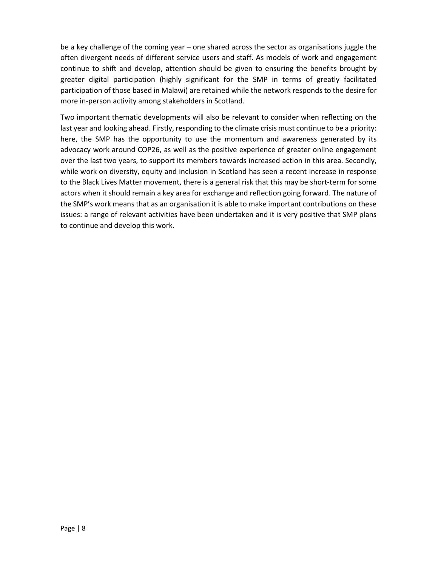be a key challenge of the coming year – one shared across the sector as organisations juggle the often divergent needs of different service users and staff. As models of work and engagement continue to shift and develop, attention should be given to ensuring the benefits brought by greater digital participation (highly significant for the SMP in terms of greatly facilitated participation of those based in Malawi) are retained while the network responds to the desire for more in-person activity among stakeholders in Scotland.

Two important thematic developments will also be relevant to consider when reflecting on the last year and looking ahead. Firstly, responding to the climate crisis must continue to be a priority: here, the SMP has the opportunity to use the momentum and awareness generated by its advocacy work around COP26, as well as the positive experience of greater online engagement over the last two years, to support its members towards increased action in this area. Secondly, while work on diversity, equity and inclusion in Scotland has seen a recent increase in response to the Black Lives Matter movement, there is a general risk that this may be short-term for some actors when it should remain a key area for exchange and reflection going forward. The nature of the SMP's work means that as an organisation it is able to make important contributions on these issues: a range of relevant activities have been undertaken and it is very positive that SMP plans to continue and develop this work.